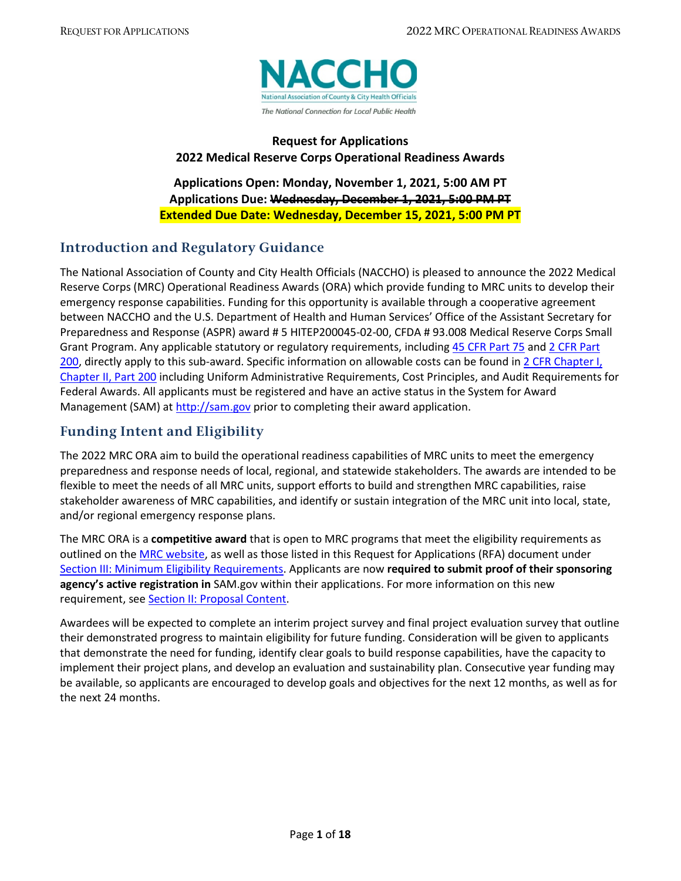

### **Request for Applications 2022 Medical Reserve Corps Operational Readiness Awards**

**Applications Open: Monday, November 1, 2021, 5:00 AM PT Applications Due: Wednesday, December 1, 2021, 5:00 PM PT Extended Due Date: Wednesday, December 15, 2021, 5:00 PM PT**

### <span id="page-0-0"></span>**Introduction and Regulatory Guidance**

The National Association of County and City Health Officials (NACCHO) is pleased to announce the 2022 Medical Reserve Corps (MRC) Operational Readiness Awards (ORA) which provide funding to MRC units to develop their emergency response capabilities. Funding for this opportunity is available through a cooperative agreement between NACCHO and the U.S. Department of Health and Human Services' Office of the Assistant Secretary for Preparedness and Response (ASPR) award # 5 HITEP200045-02-00, CFDA # 93.008 Medical Reserve Corps Small Grant Program. Any applicable statutory or regulatory requirements, including [45 CFR Part 75](https://www.ecfr.gov/cgi-bin/text-idx?node=pt45.1.75) and 2 CFR Part [200,](https://www.ecfr.gov/cgi-bin/text-idx?tpl=/ecfrbrowse/Title02/2cfr200_main_02.tpl) directly apply to this sub-award. Specific information on allowable costs can be found i[n 2 CFR Chapter I,](https://www.gpo.gov/fdsys/granule/CFR-2014-title2-vol1/CFR-2014-title2-vol1-part200/content-detail.html)  [Chapter II, Part 200](https://www.gpo.gov/fdsys/granule/CFR-2014-title2-vol1/CFR-2014-title2-vol1-part200/content-detail.html) including Uniform Administrative Requirements, Cost Principles, and Audit Requirements for Federal Awards. All applicants must be registered and have an active status in the System for Award Management (SAM) at [http://sam.gov](http://sam.gov/) prior to completing their award application.

## <span id="page-0-1"></span>**Funding Intent and Eligibility**

The 2022 MRC ORA aim to build the operational readiness capabilities of MRC units to meet the emergency preparedness and response needs of local, regional, and statewide stakeholders. The awards are intended to be flexible to meet the needs of all MRC units, support efforts to build and strengthen MRC capabilities, raise stakeholder awareness of MRC capabilities, and identify or sustain integration of the MRC unit into local, state, and/or regional emergency response plans.

The MRC ORA is a **competitive award** that is open to MRC programs that meet the eligibility requirements as outlined on the [MRC website,](https://www.phe.gov/mrc/unit-leader-resources/Pages/MRC-Registration-Criteria-FAQs.aspx) as well as those listed in this Request for Applications (RFA) document under [Section III: Minimum Eligibility Requirements.](#page-6-0) Applicants are now **required to submit proof of their sponsoring agency's active registration in** SAM.gov within their applications. For more information on this new requirement, see [Section II: Proposal Content.](#page-4-0)

Awardees will be expected to complete an interim project survey and final project evaluation survey that outline their demonstrated progress to maintain eligibility for future funding. Consideration will be given to applicants that demonstrate the need for funding, identify clear goals to build response capabilities, have the capacity to implement their project plans, and develop an evaluation and sustainability plan. Consecutive year funding may be available, so applicants are encouraged to develop goals and objectives for the next 12 months, as well as for the next 24 months.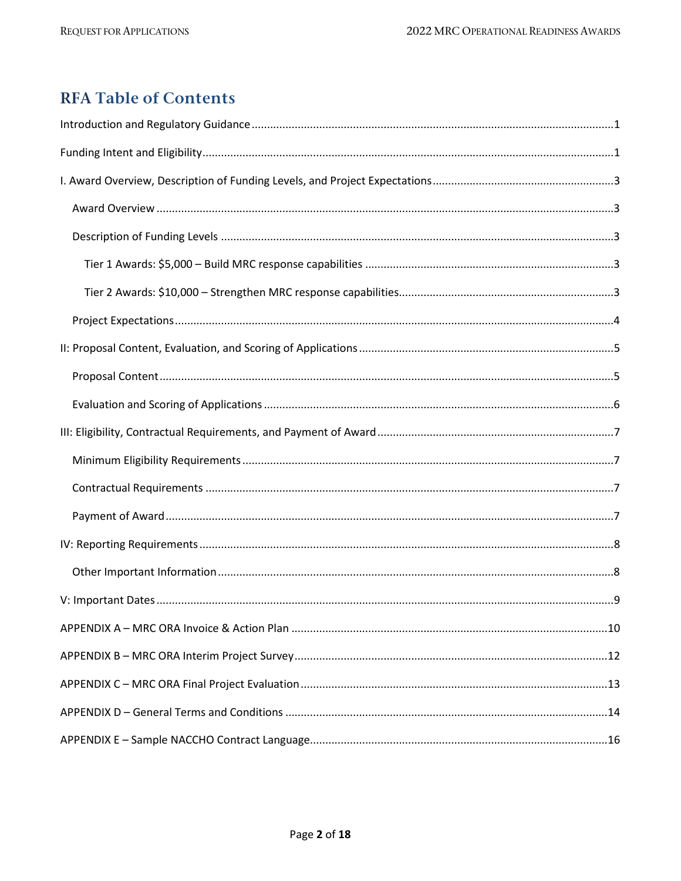# **RFA Table of Contents**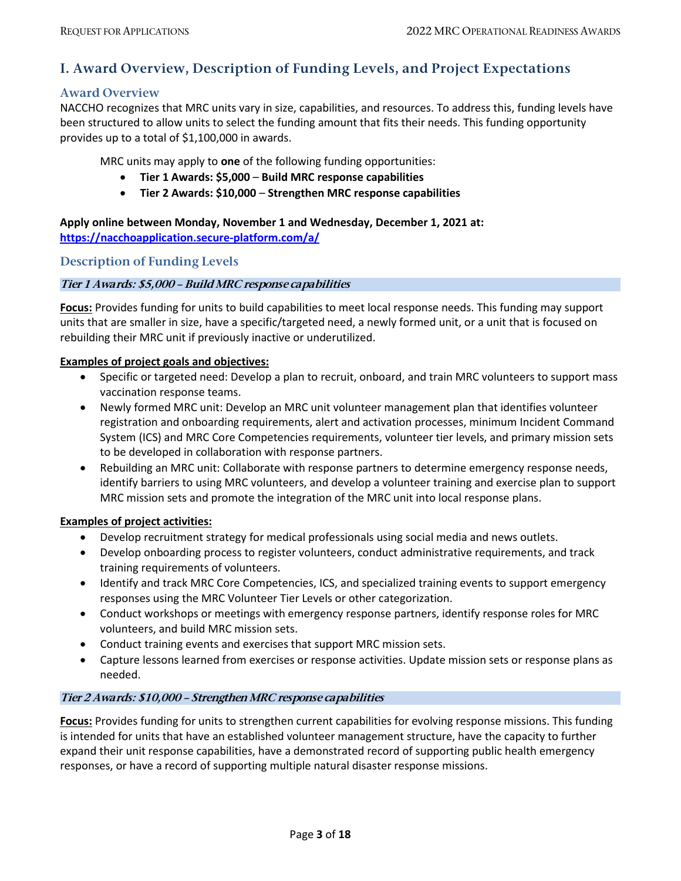### <span id="page-2-0"></span>**I. Award Overview, Description of Funding Levels, and Project Expectations**

#### <span id="page-2-1"></span>**Award Overview**

NACCHO recognizes that MRC units vary in size, capabilities, and resources. To address this, funding levels have been structured to allow units to select the funding amount that fits their needs. This funding opportunity provides up to a total of \$1,100,000 in awards.

MRC units may apply to **one** of the following funding opportunities:

- **Tier 1 Awards: \$5,000 Build MRC response capabilities**
- **Tier 2 Awards: \$10,000 Strengthen MRC response capabilities**

**Apply online between Monday, November 1 and Wednesday, December 1, 2021 at: <https://nacchoapplication.secure-platform.com/a/>**

<span id="page-2-2"></span>**Description of Funding Levels**

#### <span id="page-2-3"></span>**Tier 1 Awards: \$5,000 – Build MRC response capabilities**

**Focus:** Provides funding for units to build capabilities to meet local response needs. This funding may support units that are smaller in size, have a specific/targeted need, a newly formed unit, or a unit that is focused on rebuilding their MRC unit if previously inactive or underutilized.

#### **Examples of project goals and objectives:**

- Specific or targeted need: Develop a plan to recruit, onboard, and train MRC volunteers to support mass vaccination response teams.
- Newly formed MRC unit: Develop an MRC unit volunteer management plan that identifies volunteer registration and onboarding requirements, alert and activation processes, minimum Incident Command System (ICS) and MRC Core Competencies requirements, volunteer tier levels, and primary mission sets to be developed in collaboration with response partners.
- Rebuilding an MRC unit: Collaborate with response partners to determine emergency response needs, identify barriers to using MRC volunteers, and develop a volunteer training and exercise plan to support MRC mission sets and promote the integration of the MRC unit into local response plans.

#### **Examples of project activities:**

- Develop recruitment strategy for medical professionals using social media and news outlets.
- Develop onboarding process to register volunteers, conduct administrative requirements, and track training requirements of volunteers.
- Identify and track MRC Core Competencies, ICS, and specialized training events to support emergency responses using the MRC Volunteer Tier Levels or other categorization.
- Conduct workshops or meetings with emergency response partners, identify response roles for MRC volunteers, and build MRC mission sets.
- Conduct training events and exercises that support MRC mission sets.
- Capture lessons learned from exercises or response activities. Update mission sets or response plans as needed.

#### <span id="page-2-4"></span>**Tier 2 Awards: \$10,000 – Strengthen MRC response capabilities**

**Focus:** Provides funding for units to strengthen current capabilities for evolving response missions. This funding is intended for units that have an established volunteer management structure, have the capacity to further expand their unit response capabilities, have a demonstrated record of supporting public health emergency responses, or have a record of supporting multiple natural disaster response missions.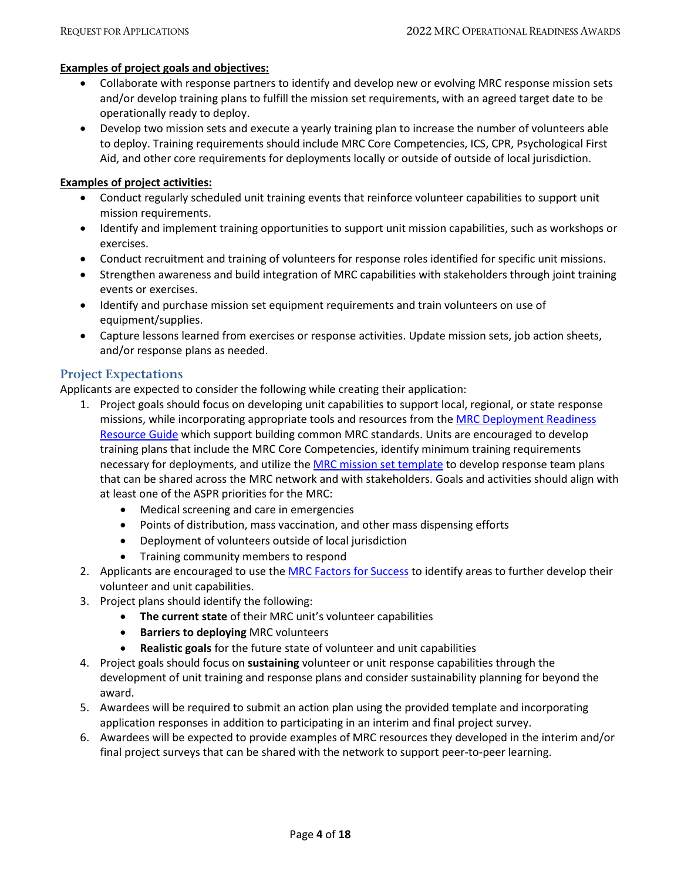#### **Examples of project goals and objectives:**

- Collaborate with response partners to identify and develop new or evolving MRC response mission sets and/or develop training plans to fulfill the mission set requirements, with an agreed target date to be operationally ready to deploy.
- Develop two mission sets and execute a yearly training plan to increase the number of volunteers able to deploy. Training requirements should include MRC Core Competencies, ICS, CPR, Psychological First Aid, and other core requirements for deployments locally or outside of outside of local jurisdiction.

#### **Examples of project activities:**

- Conduct regularly scheduled unit training events that reinforce volunteer capabilities to support unit mission requirements.
- Identify and implement training opportunities to support unit mission capabilities, such as workshops or exercises.
- Conduct recruitment and training of volunteers for response roles identified for specific unit missions.
- Strengthen awareness and build integration of MRC capabilities with stakeholders through joint training events or exercises.
- Identify and purchase mission set equipment requirements and train volunteers on use of equipment/supplies.
- Capture lessons learned from exercises or response activities. Update mission sets, job action sheets, and/or response plans as needed.

#### <span id="page-3-0"></span>**Project Expectations**

Applicants are expected to consider the following while creating their application:

- 1. Project goals should focus on developing unit capabilities to support local, regional, or state response missions, while incorporating appropriate tools and resources from the MRC Deployment Readiness [Resource Guide](https://www.naccho.org/programs/public-health-preparedness/medical-reserve-corps/mrc-deployment-readiness-resources) which support building common MRC standards. Units are encouraged to develop training plans that include the MRC Core Competencies, identify minimum training requirements necessary for deployments, and utilize th[e MRC mission set template](https://www.naccho.org/uploads/downloadable-resources/Mission-Set-Template.docx) to develop response team plans that can be shared across the MRC network and with stakeholders. Goals and activities should align with at least one of the ASPR priorities for the MRC:
	- Medical screening and care in emergencies
	- Points of distribution, mass vaccination, and other mass dispensing efforts
	- Deployment of volunteers outside of local jurisdiction
	- Training community members to respond
- 2. Applicants are encouraged to use the [MRC Factors for Success](https://www.phe.gov/mrc/Documents/MRC%20Factors%20for%20Success_2021.pdf) to identify areas to further develop their volunteer and unit capabilities.
- 3. Project plans should identify the following:
	- **The current state** of their MRC unit's volunteer capabilities
	- **Barriers to deploying** MRC volunteers
	- **Realistic goals** for the future state of volunteer and unit capabilities
- 4. Project goals should focus on **sustaining** volunteer or unit response capabilities through the development of unit training and response plans and consider sustainability planning for beyond the award.
- 5. Awardees will be required to submit an action plan using the provided template and incorporating application responses in addition to participating in an interim and final project survey.
- 6. Awardees will be expected to provide examples of MRC resources they developed in the interim and/or final project surveys that can be shared with the network to support peer-to-peer learning.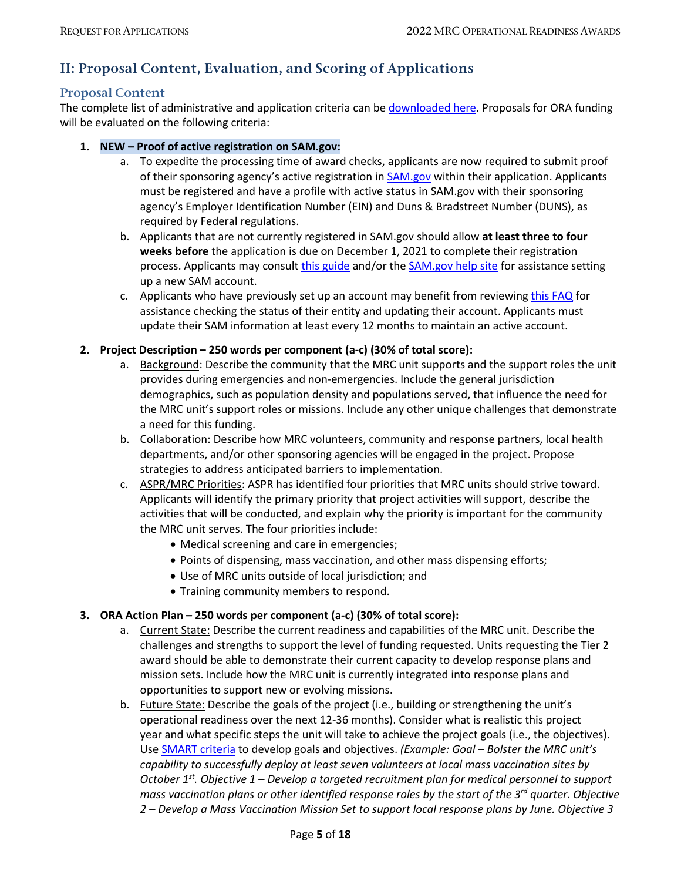## <span id="page-4-1"></span>**II: Proposal Content, Evaluation, and Scoring of Applications**

#### <span id="page-4-0"></span>**Proposal Content**

The complete list of administrative and application criteria can b[e downloaded](https://www.naccho.org/uploads/header-images/public-health-preparedness/MRC-2022-ORA-Application-Questions.pdf) here. Proposals for ORA funding will be evaluated on the following criteria:

- **1. NEW – Proof of active registration on SAM.gov:**
	- a. To expedite the processing time of award checks, applicants are now required to submit proof of their sponsoring agency's active registration in [SAM.gov](https://sam.gov/content/home/) within their application. Applicants must be registered and have a profile with active status in SAM.gov with their sponsoring agency's Employer Identification Number (EIN) and Duns & Bradstreet Number (DUNS), as required by Federal regulations.
	- b. Applicants that are not currently registered in SAM.gov should allow **at least three to four weeks before** the application is due on December 1, 2021 to complete their registration process. Applicants may consult [this guide](https://www.sba.gov/sites/default/files/articles/Registering_on_SAM.pdf) and/or th[e SAM.gov help site](https://sam.gov/content/help) for assistance setting up a new SAM account.
	- c. Applicants who have previously set up an account may benefit from reviewin[g this FAQ](https://www.fsd.gov/gsafsd_sp?id=kb_article_view&sysparm_article=KB0016609&sys_kb_id=13753cf2db2a7c10060d5425f396194e&spa=1) for assistance checking the status of their entity and updating their account. Applicants must update their SAM information at least every 12 months to maintain an active account.

#### **2. Project Description – 250 words per component (a-c) (30% of total score):**

- a. Background: Describe the community that the MRC unit supports and the support roles the unit provides during emergencies and non-emergencies. Include the general jurisdiction demographics, such as population density and populations served, that influence the need for the MRC unit's support roles or missions. Include any other unique challenges that demonstrate a need for this funding.
- b. Collaboration: Describe how MRC volunteers, community and response partners, local health departments, and/or other sponsoring agencies will be engaged in the project. Propose strategies to address anticipated barriers to implementation.
- c. ASPR/MRC Priorities: ASPR has identified four priorities that MRC units should strive toward. Applicants will identify the primary priority that project activities will support, describe the activities that will be conducted, and explain why the priority is important for the community the MRC unit serves. The four priorities include:
	- Medical screening and care in emergencies;
	- Points of dispensing, mass vaccination, and other mass dispensing efforts;
	- Use of MRC units outside of local jurisdiction; and
	- Training community members to respond.

#### **3. ORA Action Plan – 250 words per component (a-c) (30% of total score):**

- a. Current State: Describe the current readiness and capabilities of the MRC unit. Describe the challenges and strengths to support the level of funding requested. Units requesting the Tier 2 award should be able to demonstrate their current capacity to develop response plans and mission sets. Include how the MRC unit is currently integrated into response plans and opportunities to support new or evolving missions.
- b. Future State: Describe the goals of the project (i.e., building or strengthening the unit's operational readiness over the next 12-36 months). Consider what is realistic this project year and what specific steps the unit will take to achieve the project goals (i.e., the objectives). Use [SMART criteria](https://www.samhsa.gov/sites/default/files/nc-smart-goals-fact-sheet.pdf) to develop goals and objectives. *(Example: Goal – Bolster the MRC unit's capability to successfully deploy at least seven volunteers at local mass vaccination sites by October 1st. Objective 1 – Develop a targeted recruitment plan for medical personnel to support mass vaccination plans or other identified response roles by the start of the 3rd quarter. Objective 2 – Develop a Mass Vaccination Mission Set to support local response plans by June. Objective 3*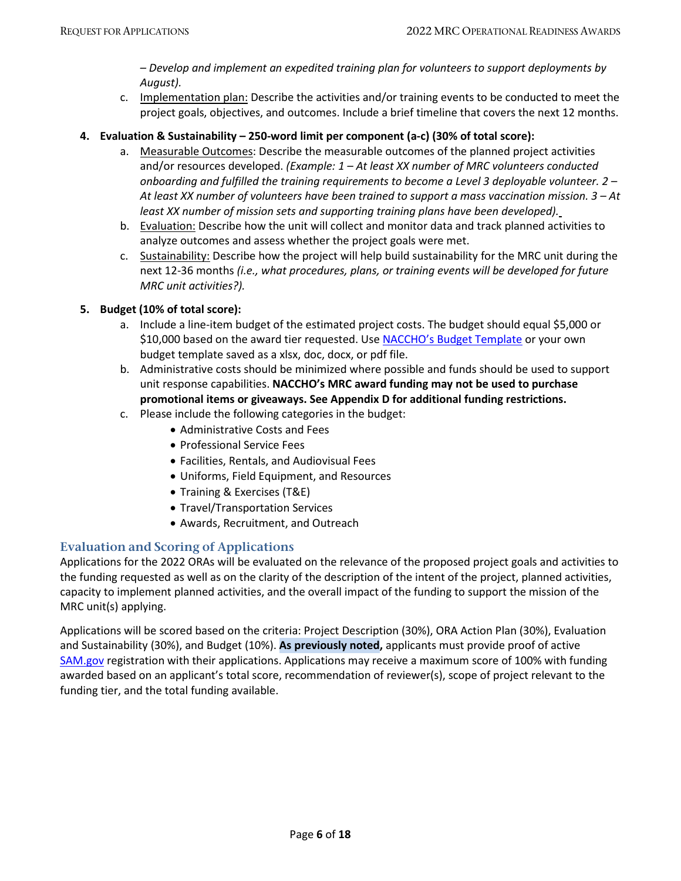*– Develop and implement an expedited training plan for volunteers to support deployments by August).*

c. Implementation plan: Describe the activities and/or training events to be conducted to meet the project goals, objectives, and outcomes. Include a brief timeline that covers the next 12 months.

#### **4. Evaluation & Sustainability – 250-word limit per component (a-c) (30% of total score):**

- a. Measurable Outcomes: Describe the measurable outcomes of the planned project activities and/or resources developed. *(Example: 1 – At least XX number of MRC volunteers conducted onboarding and fulfilled the training requirements to become a Level 3 deployable volunteer. 2 – At least XX number of volunteers have been trained to support a mass vaccination mission. 3 – At least XX number of mission sets and supporting training plans have been developed).*
- b. Evaluation: Describe how the unit will collect and monitor data and track planned activities to analyze outcomes and assess whether the project goals were met.
- c. Sustainability: Describe how the project will help build sustainability for the MRC unit during the next 12-36 months *(i.e., what procedures, plans, or training events will be developed for future MRC unit activities?).*

#### **5. Budget (10% of total score):**

- a. Include a line-item budget of the estimated project costs. The budget should equal \$5,000 or \$10,000 based on the award tier requested. Use [NACCHO's Budget Template](https://www.naccho.org/uploads/downloadable-resources/Programs/Public-Health-Preparedness/MRC-2022-ORA-Budget-Template.xlsx) or your own budget template saved as a xlsx, doc, docx, or pdf file.
- b. Administrative costs should be minimized where possible and funds should be used to support unit response capabilities. **NACCHO's MRC award funding may not be used to purchase promotional items or giveaways. See Appendix D for additional funding restrictions.**
- c. Please include the following categories in the budget:
	- Administrative Costs and Fees
	- Professional Service Fees
	- Facilities, Rentals, and Audiovisual Fees
	- Uniforms, Field Equipment, and Resources
	- Training & Exercises (T&E)
	- Travel/Transportation Services
	- Awards, Recruitment, and Outreach

### <span id="page-5-0"></span>**Evaluation and Scoring of Applications**

Applications for the 2022 ORAs will be evaluated on the relevance of the proposed project goals and activities to the funding requested as well as on the clarity of the description of the intent of the project, planned activities, capacity to implement planned activities, and the overall impact of the funding to support the mission of the MRC unit(s) applying.

Applications will be scored based on the criteria: Project Description (30%), ORA Action Plan (30%), Evaluation and Sustainability (30%), and Budget (10%). **As previously noted,** applicants must provide proof of active [SAM.gov](https://sam.gov/content/home/) registration with their applications. Applications may receive a maximum score of 100% with funding awarded based on an applicant's total score, recommendation of reviewer(s), scope of project relevant to the funding tier, and the total funding available.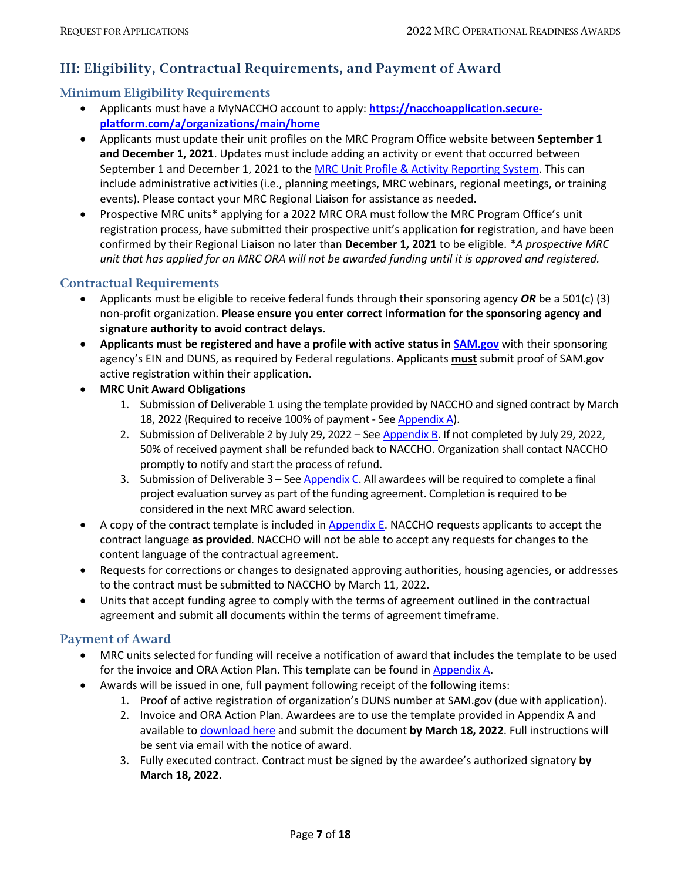## <span id="page-6-1"></span>**III: Eligibility, Contractual Requirements, and Payment of Award**

### <span id="page-6-0"></span>**Minimum Eligibility Requirements**

- Applicants must have a MyNACCHO account to apply: **[https://nacchoapplication.secure](https://nacchoapplication.secure-platform.com/a/organizations/main/home)[platform.com/a/organizations/main/home](https://nacchoapplication.secure-platform.com/a/organizations/main/home)**
- Applicants must update their unit profiles on the MRC Program Office website between **September 1 and December 1, 2021**. Updates must include adding an activity or event that occurred between September 1 and December 1, 2021 to the [MRC Unit Profile & Activity Reporting System.](https://mrc.hhs.gov/login) This can include administrative activities (i.e., planning meetings, MRC webinars, regional meetings, or training events). Please contact your MRC Regional Liaison for assistance as needed.
- Prospective MRC units\* applying for a 2022 MRC ORA must follow the MRC Program Office's unit registration process, have submitted their prospective unit's application for registration, and have been confirmed by their Regional Liaison no later than **December 1, 2021** to be eligible. *\*A prospective MRC unit that has applied for an MRC ORA will not be awarded funding until it is approved and registered.*

### <span id="page-6-2"></span>**Contractual Requirements**

- Applicants must be eligible to receive federal funds through their sponsoring agency *OR* be a 501(c) (3) non-profit organization. **Please ensure you enter correct information for the sponsoring agency and signature authority to avoid contract delays.**
- **Applicants must be registered and have a profile with active status in [SAM.gov](https://sam.gov/content/home)** with their sponsoring agency's EIN and DUNS, as required by Federal regulations. Applicants **must** submit proof of SAM.gov active registration within their application.
- **MRC Unit Award Obligations**
	- 1. Submission of Deliverable 1 using the template provided by NACCHO and signed contract by March 18, 2022 (Required to receive 100% of payment - See [Appendix A\)](#page-9-0).
	- 2. Submission of Deliverable 2 by July 29, 2022 Se[e Appendix B.](#page-11-0) If not completed by July 29, 2022, 50% of received payment shall be refunded back to NACCHO. Organization shall contact NACCHO promptly to notify and start the process of refund.
	- 3. Submission of Deliverable  $3 -$  Se[e Appendix C.](#page-12-0) All awardees will be required to complete a final project evaluation survey as part of the funding agreement. Completion is required to be considered in the next MRC award selection.
- A copy of the contract template is included i[n Appendix E.](#page-15-0) NACCHO requests applicants to accept the contract language **as provided**. NACCHO will not be able to accept any requests for changes to the content language of the contractual agreement.
- Requests for corrections or changes to designated approving authorities, housing agencies, or addresses to the contract must be submitted to NACCHO by March 11, 2022.
- Units that accept funding agree to comply with the terms of agreement outlined in the contractual agreement and submit all documents within the terms of agreement timeframe.

### <span id="page-6-3"></span>**Payment of Award**

- MRC units selected for funding will receive a notification of award that includes the template to be used for the invoice and ORA Action Plan. This template can be found i[n Appendix](#page-9-0) A.
- Awards will be issued in one, full payment following receipt of the following items:
	- 1. Proof of active registration of organization's DUNS number at SAM.gov (due with application).
	- 2. Invoice and ORA Action Plan. Awardees are to use the template provided in Appendix A and available to [download here](https://www.naccho.org/uploads/card-images/public-health-preparedness/22-MRC-ORA-Deliverable.docx) and submit the document **by March 18, 2022**. Full instructions will be sent via email with the notice of award.
	- 3. Fully executed contract. Contract must be signed by the awardee's authorized signatory **by March 18, 2022.**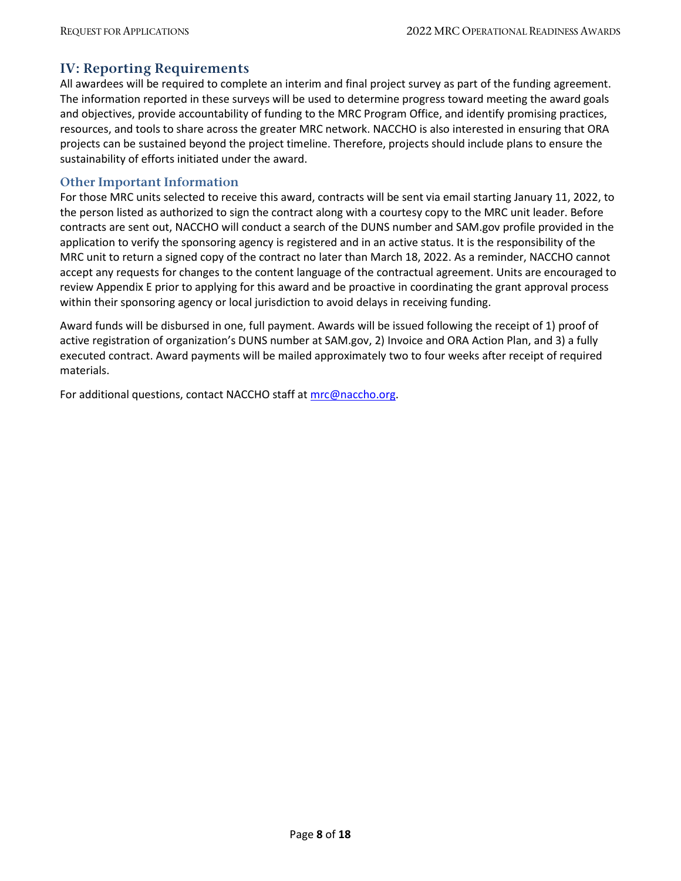### <span id="page-7-0"></span>**IV: Reporting Requirements**

All awardees will be required to complete an interim and final project survey as part of the funding agreement. The information reported in these surveys will be used to determine progress toward meeting the award goals and objectives, provide accountability of funding to the MRC Program Office, and identify promising practices, resources, and tools to share across the greater MRC network. NACCHO is also interested in ensuring that ORA projects can be sustained beyond the project timeline. Therefore, projects should include plans to ensure the sustainability of efforts initiated under the award.

#### <span id="page-7-1"></span>**Other Important Information**

For those MRC units selected to receive this award, contracts will be sent via email starting January 11, 2022, to the person listed as authorized to sign the contract along with a courtesy copy to the MRC unit leader. Before contracts are sent out, NACCHO will conduct a search of the DUNS number and SAM.gov profile provided in the application to verify the sponsoring agency is registered and in an active status. It is the responsibility of the MRC unit to return a signed copy of the contract no later than March 18, 2022. As a reminder, NACCHO cannot accept any requests for changes to the content language of the contractual agreement. Units are encouraged to review Appendix E prior to applying for this award and be proactive in coordinating the grant approval process within their sponsoring agency or local jurisdiction to avoid delays in receiving funding.

Award funds will be disbursed in one, full payment. Awards will be issued following the receipt of 1) proof of active registration of organization's DUNS number at SAM.gov, 2) Invoice and ORA Action Plan, and 3) a fully executed contract. Award payments will be mailed approximately two to four weeks after receipt of required materials.

For additional questions, contact NACCHO staff at [mrc@naccho.org.](mailto:mrc@naccho.org)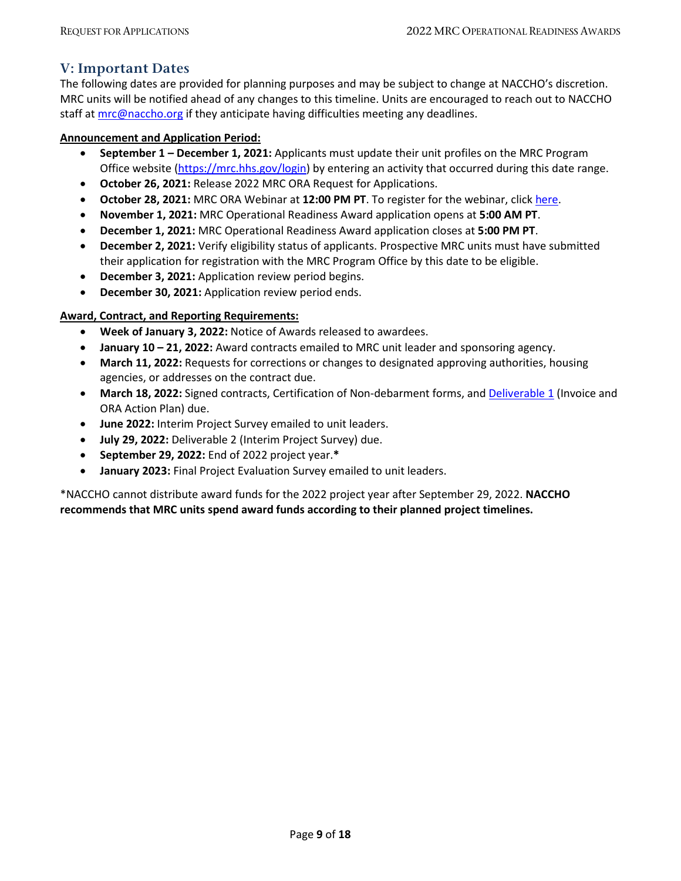### <span id="page-8-0"></span>**V: Important Dates**

The following dates are provided for planning purposes and may be subject to change at NACCHO's discretion. MRC units will be notified ahead of any changes to this timeline. Units are encouraged to reach out to NACCHO staff at [mrc@naccho.org](mailto:mrc@naccho.org) if they anticipate having difficulties meeting any deadlines.

#### **Announcement and Application Period:**

- **September 1 – December 1, 2021:** Applicants must update their unit profiles on the MRC Program Office website [\(https://mrc.hhs.gov/login\)](https://mrc.hhs.gov/login) by entering an activity that occurred during this date range.
- **October 26, 2021:** Release 2022 MRC ORA Request for Applications.
- **October 28, 2021:** MRC ORA Webinar at **12:00 PM PT**. To register for the webinar, clic[k here.](https://naccho.zoom.us/webinar/register/WN_MLRemQ-lR4W3kTRtgYCtzQ)
- **November 1, 2021:** MRC Operational Readiness Award application opens at **5:00 AM PT**.
- **December 1, 2021:** MRC Operational Readiness Award application closes at **5:00 PM PT**.
- **December 2, 2021:** Verify eligibility status of applicants. Prospective MRC units must have submitted their application for registration with the MRC Program Office by this date to be eligible.
- **December 3, 2021:** Application review period begins.
- **December 30, 2021:** Application review period ends.

#### **Award, Contract, and Reporting Requirements:**

- **Week of January 3, 2022:** Notice of Awards released to awardees.
- **January 10 – 21, 2022:** Award contracts emailed to MRC unit leader and sponsoring agency.
- **March 11, 2022:** Requests for corrections or changes to designated approving authorities, housing agencies, or addresses on the contract due.
- **March 18, 2022:** Signed contracts, Certification of Non-debarment forms, an[d Deliverable 1](https://www.naccho.org/uploads/card-images/public-health-preparedness/22-MRC-ORA-Deliverable.docx) (Invoice and ORA Action Plan) due.
- **June 2022:** Interim Project Survey emailed to unit leaders.
- **July 29, 2022:** Deliverable 2 (Interim Project Survey) due.
- **September 29, 2022:** End of 2022 project year.**\***
- **January 2023:** Final Project Evaluation Survey emailed to unit leaders.

\*NACCHO cannot distribute award funds for the 2022 project year after September 29, 2022. **NACCHO recommends that MRC units spend award funds according to their planned project timelines.**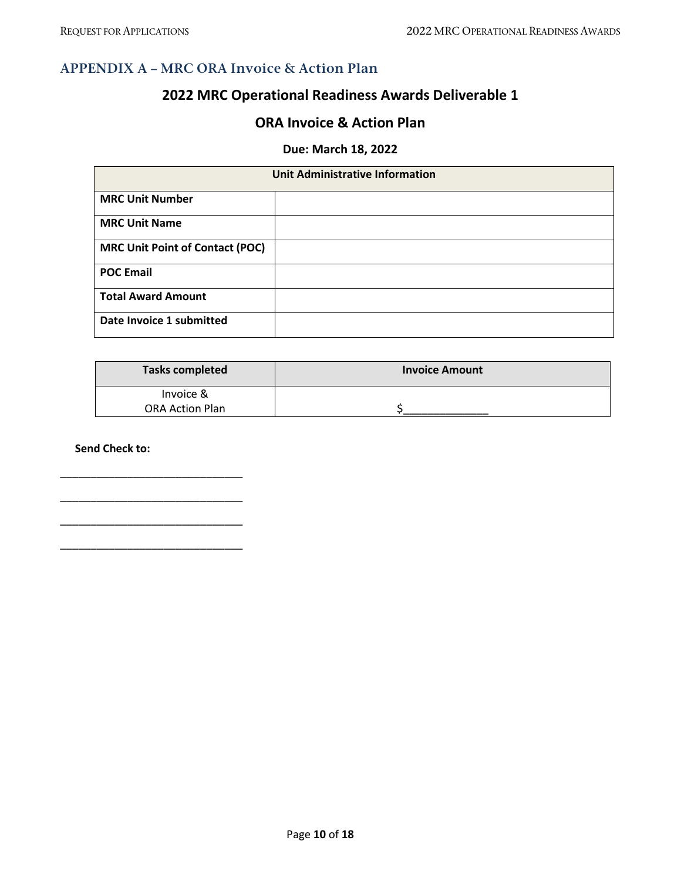### <span id="page-9-0"></span>**APPENDIX A – MRC ORA Invoice & Action Plan**

# **2022 MRC Operational Readiness Awards Deliverable 1**

### **ORA Invoice & Action Plan**

### **Due: March 18, 2022**

| <b>Unit Administrative Information</b> |  |  |  |  |
|----------------------------------------|--|--|--|--|
| <b>MRC Unit Number</b>                 |  |  |  |  |
| <b>MRC Unit Name</b>                   |  |  |  |  |
| <b>MRC Unit Point of Contact (POC)</b> |  |  |  |  |
| <b>POC Email</b>                       |  |  |  |  |
| <b>Total Award Amount</b>              |  |  |  |  |
| Date Invoice 1 submitted               |  |  |  |  |

| <b>Tasks completed</b> | <b>Invoice Amount</b> |
|------------------------|-----------------------|
| Invoice &              |                       |
| <b>ORA Action Plan</b> |                       |

**Send Check to:**

\_\_\_\_\_\_\_\_\_\_\_\_\_\_\_\_\_\_\_\_\_\_\_\_\_\_\_\_\_\_

\_\_\_\_\_\_\_\_\_\_\_\_\_\_\_\_\_\_\_\_\_\_\_\_\_\_\_\_\_\_

\_\_\_\_\_\_\_\_\_\_\_\_\_\_\_\_\_\_\_\_\_\_\_\_\_\_\_\_\_\_

\_\_\_\_\_\_\_\_\_\_\_\_\_\_\_\_\_\_\_\_\_\_\_\_\_\_\_\_\_\_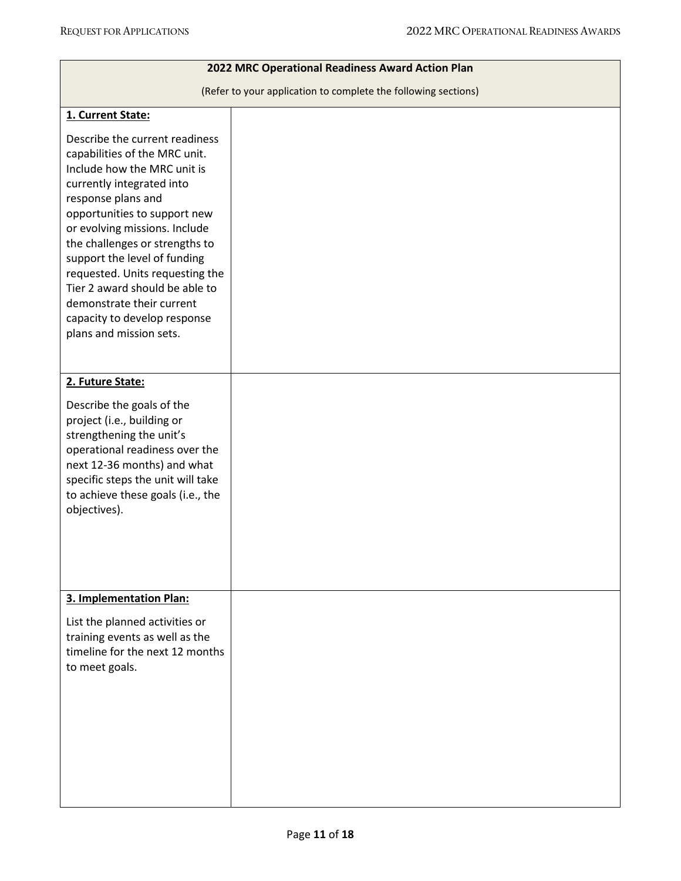| 2022 MRC Operational Readiness Award Action Plan                                                                                                                                                                                                                                                                                                                                                                                                  |  |  |  |  |  |
|---------------------------------------------------------------------------------------------------------------------------------------------------------------------------------------------------------------------------------------------------------------------------------------------------------------------------------------------------------------------------------------------------------------------------------------------------|--|--|--|--|--|
| (Refer to your application to complete the following sections)                                                                                                                                                                                                                                                                                                                                                                                    |  |  |  |  |  |
| 1. Current State:                                                                                                                                                                                                                                                                                                                                                                                                                                 |  |  |  |  |  |
| Describe the current readiness<br>capabilities of the MRC unit.<br>Include how the MRC unit is<br>currently integrated into<br>response plans and<br>opportunities to support new<br>or evolving missions. Include<br>the challenges or strengths to<br>support the level of funding<br>requested. Units requesting the<br>Tier 2 award should be able to<br>demonstrate their current<br>capacity to develop response<br>plans and mission sets. |  |  |  |  |  |
| 2. Future State:                                                                                                                                                                                                                                                                                                                                                                                                                                  |  |  |  |  |  |
| Describe the goals of the<br>project (i.e., building or<br>strengthening the unit's<br>operational readiness over the<br>next 12-36 months) and what<br>specific steps the unit will take<br>to achieve these goals (i.e., the<br>objectives).                                                                                                                                                                                                    |  |  |  |  |  |
| 3. Implementation Plan:                                                                                                                                                                                                                                                                                                                                                                                                                           |  |  |  |  |  |
| List the planned activities or<br>training events as well as the<br>timeline for the next 12 months<br>to meet goals.                                                                                                                                                                                                                                                                                                                             |  |  |  |  |  |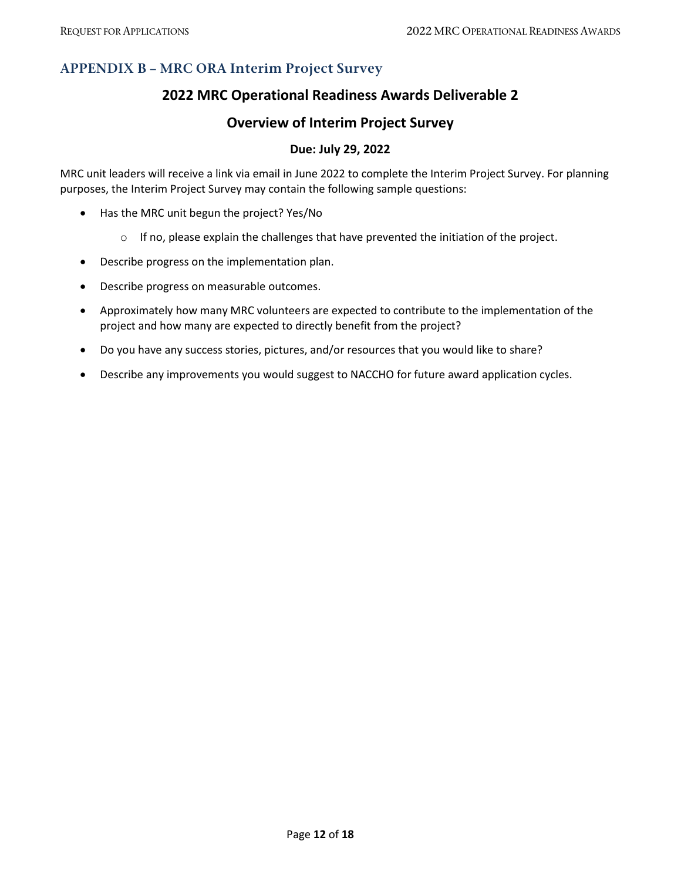## <span id="page-11-0"></span>**APPENDIX B – MRC ORA Interim Project Survey**

### **2022 MRC Operational Readiness Awards Deliverable 2**

### **Overview of Interim Project Survey**

### **Due: July 29, 2022**

MRC unit leaders will receive a link via email in June 2022 to complete the Interim Project Survey. For planning purposes, the Interim Project Survey may contain the following sample questions:

- Has the MRC unit begun the project? Yes/No
	- $\circ$  If no, please explain the challenges that have prevented the initiation of the project.
- Describe progress on the implementation plan.
- Describe progress on measurable outcomes.
- Approximately how many MRC volunteers are expected to contribute to the implementation of the project and how many are expected to directly benefit from the project?
- Do you have any success stories, pictures, and/or resources that you would like to share?
- Describe any improvements you would suggest to NACCHO for future award application cycles.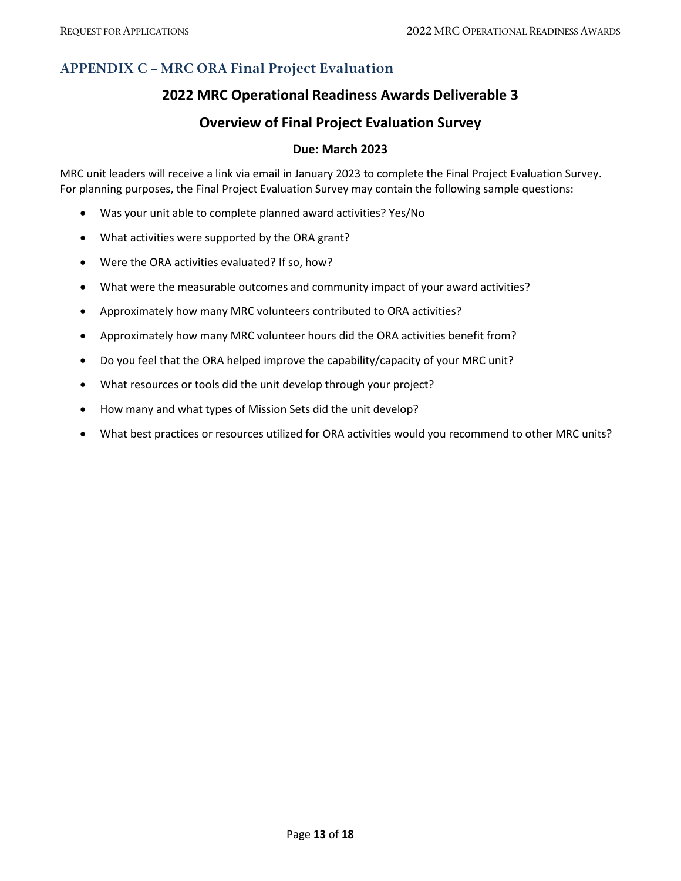## <span id="page-12-0"></span>**APPENDIX C – MRC ORA Final Project Evaluation**

### **2022 MRC Operational Readiness Awards Deliverable 3**

### **Overview of Final Project Evaluation Survey**

#### **Due: March 2023**

MRC unit leaders will receive a link via email in January 2023 to complete the Final Project Evaluation Survey. For planning purposes, the Final Project Evaluation Survey may contain the following sample questions:

- Was your unit able to complete planned award activities? Yes/No
- What activities were supported by the ORA grant?
- Were the ORA activities evaluated? If so, how?
- What were the measurable outcomes and community impact of your award activities?
- Approximately how many MRC volunteers contributed to ORA activities?
- Approximately how many MRC volunteer hours did the ORA activities benefit from?
- Do you feel that the ORA helped improve the capability/capacity of your MRC unit?
- What resources or tools did the unit develop through your project?
- How many and what types of Mission Sets did the unit develop?
- What best practices or resources utilized for ORA activities would you recommend to other MRC units?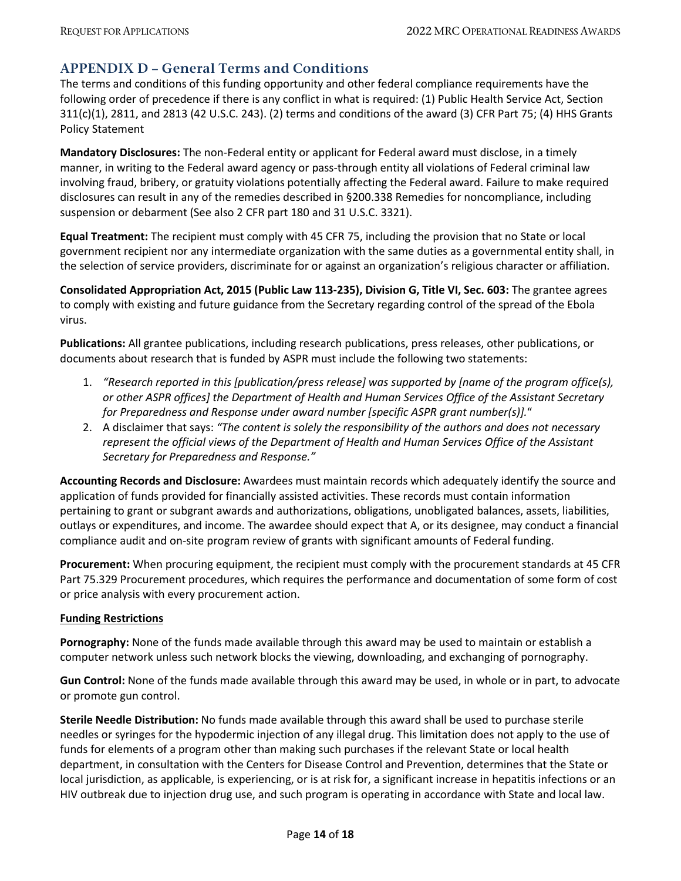### <span id="page-13-0"></span>**APPENDIX D – General Terms and Conditions**

The terms and conditions of this funding opportunity and other federal compliance requirements have the following order of precedence if there is any conflict in what is required: (1) Public Health Service Act, Section 311(c)(1), 2811, and 2813 (42 U.S.C. 243). (2) terms and conditions of the award (3) CFR Part 75; (4) HHS Grants Policy Statement

**Mandatory Disclosures:** The non-Federal entity or applicant for Federal award must disclose, in a timely manner, in writing to the Federal award agency or pass-through entity all violations of Federal criminal law involving fraud, bribery, or gratuity violations potentially affecting the Federal award. Failure to make required disclosures can result in any of the remedies described in §200.338 Remedies for noncompliance, including suspension or debarment (See also 2 CFR part 180 and 31 U.S.C. 3321).

**Equal Treatment:** The recipient must comply with 45 CFR 75, including the provision that no State or local government recipient nor any intermediate organization with the same duties as a governmental entity shall, in the selection of service providers, discriminate for or against an organization's religious character or affiliation.

**Consolidated Appropriation Act, 2015 (Public Law 113-235), Division G, Title VI, Sec. 603:** The grantee agrees to comply with existing and future guidance from the Secretary regarding control of the spread of the Ebola virus.

**Publications:** All grantee publications, including research publications, press releases, other publications, or documents about research that is funded by ASPR must include the following two statements:

- 1. *"Research reported in this [publication/press release] was supported by [name of the program office(s), or other ASPR offices] the Department of Health and Human Services Office of the Assistant Secretary for Preparedness and Response under award number [specific ASPR grant number(s)].*"
- 2. A disclaimer that says: *"The content is solely the responsibility of the authors and does not necessary represent the official views of the Department of Health and Human Services Office of the Assistant Secretary for Preparedness and Response."*

**Accounting Records and Disclosure:** Awardees must maintain records which adequately identify the source and application of funds provided for financially assisted activities. These records must contain information pertaining to grant or subgrant awards and authorizations, obligations, unobligated balances, assets, liabilities, outlays or expenditures, and income. The awardee should expect that A, or its designee, may conduct a financial compliance audit and on-site program review of grants with significant amounts of Federal funding.

**Procurement:** When procuring equipment, the recipient must comply with the procurement standards at 45 CFR Part 75.329 Procurement procedures, which requires the performance and documentation of some form of cost or price analysis with every procurement action.

#### **Funding Restrictions**

**Pornography:** None of the funds made available through this award may be used to maintain or establish a computer network unless such network blocks the viewing, downloading, and exchanging of pornography.

**Gun Control:** None of the funds made available through this award may be used, in whole or in part, to advocate or promote gun control.

**Sterile Needle Distribution:** No funds made available through this award shall be used to purchase sterile needles or syringes for the hypodermic injection of any illegal drug. This limitation does not apply to the use of funds for elements of a program other than making such purchases if the relevant State or local health department, in consultation with the Centers for Disease Control and Prevention, determines that the State or local jurisdiction, as applicable, is experiencing, or is at risk for, a significant increase in hepatitis infections or an HIV outbreak due to injection drug use, and such program is operating in accordance with State and local law.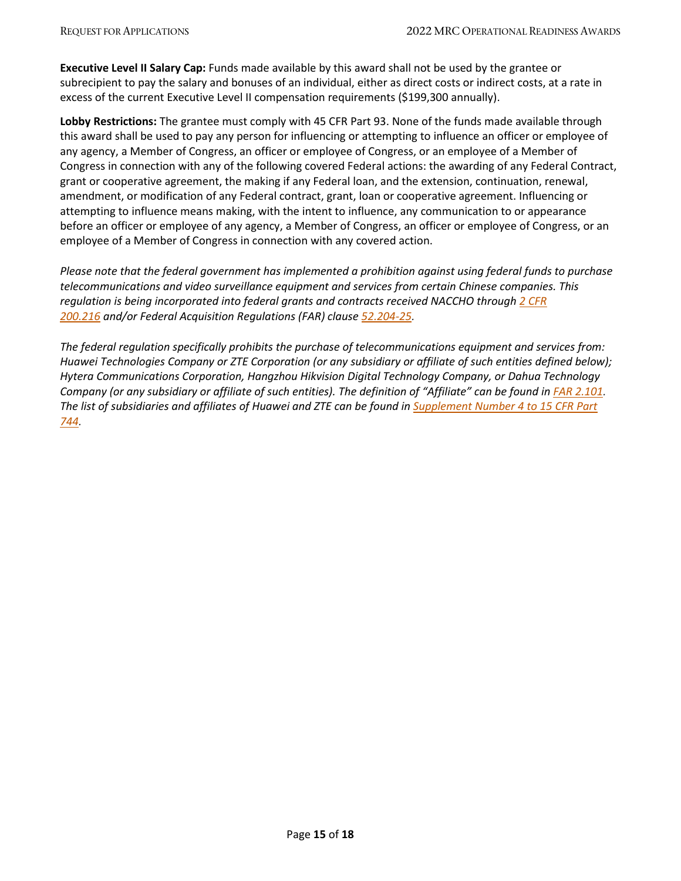**Executive Level II Salary Cap:** Funds made available by this award shall not be used by the grantee or subrecipient to pay the salary and bonuses of an individual, either as direct costs or indirect costs, at a rate in excess of the current Executive Level II compensation requirements (\$199,300 annually).

**Lobby Restrictions:** The grantee must comply with 45 CFR Part 93. None of the funds made available through this award shall be used to pay any person for influencing or attempting to influence an officer or employee of any agency, a Member of Congress, an officer or employee of Congress, or an employee of a Member of Congress in connection with any of the following covered Federal actions: the awarding of any Federal Contract, grant or cooperative agreement, the making if any Federal loan, and the extension, continuation, renewal, amendment, or modification of any Federal contract, grant, loan or cooperative agreement. Influencing or attempting to influence means making, with the intent to influence, any communication to or appearance before an officer or employee of any agency, a Member of Congress, an officer or employee of Congress, or an employee of a Member of Congress in connection with any covered action.

*Please note that the federal government has implemented a prohibition against using federal funds to purchase telecommunications and video surveillance equipment and services from certain Chinese companies. This regulation is being incorporated into federal grants and contracts received NACCHO through [2 CFR](https://www.ecfr.gov/cgi-bin/text-idx?SID=086ec3bf7f9c7f68d0c7626ed42acd37&mc=true&node=se2.1.200_1216&rgn=div8)  [200.216](https://www.ecfr.gov/cgi-bin/text-idx?SID=086ec3bf7f9c7f68d0c7626ed42acd37&mc=true&node=se2.1.200_1216&rgn=div8) and/or Federal Acquisition Regulations (FAR) clause [52.204-25.](https://www.acquisition.gov/far/52.204-25)*

*The federal regulation specifically prohibits the purchase of telecommunications equipment and services from: Huawei Technologies Company or ZTE Corporation (or any subsidiary or affiliate of such entities defined below); Hytera Communications Corporation, Hangzhou Hikvision Digital Technology Company, or Dahua Technology Company (or any subsidiary or affiliate of such entities). The definition of "Affiliate" can be found in <i>FAR 2.101*. *The list of subsidiaries and affiliates of Huawei and ZTE can be found in [Supplement Number 4 to 15 CFR Part](https://www.federalregister.gov/documents/2019/05/21/2019-10616/addition-of-entities-to-the-entity-list)  [744.](https://www.federalregister.gov/documents/2019/05/21/2019-10616/addition-of-entities-to-the-entity-list)*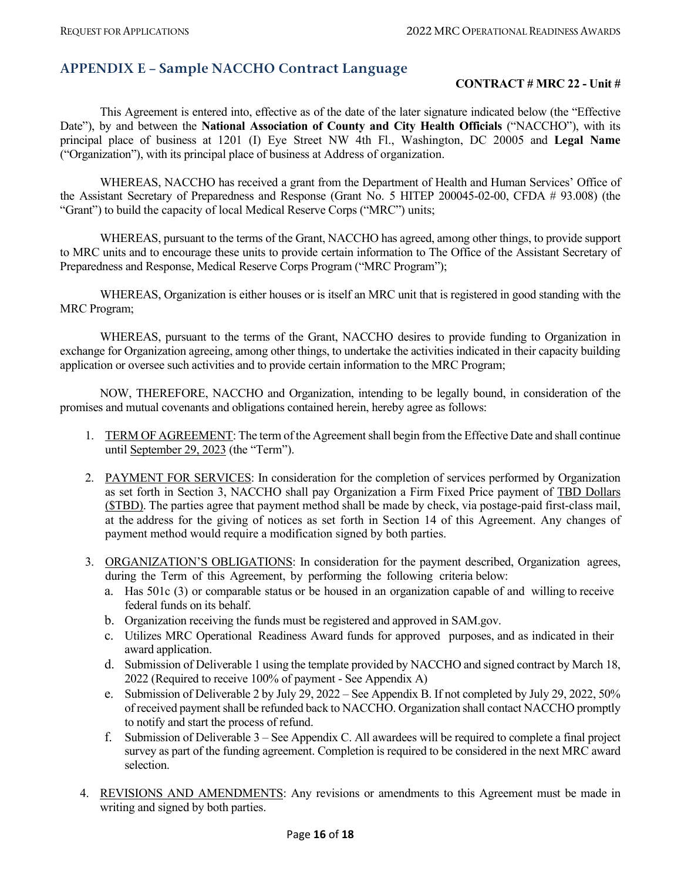## <span id="page-15-0"></span>**APPENDIX E – Sample NACCHO Contract Language**

### **CONTRACT # MRC 22 - Unit #**

This Agreement is entered into, effective as of the date of the later signature indicated below (the "Effective Date"), by and between the **National Association of County and City Health Officials** ("NACCHO"), with its principal place of business at 1201 (I) Eye Street NW 4th Fl., Washington, DC 20005 and **Legal Name** ("Organization"), with its principal place of business at Address of organization.

WHEREAS, NACCHO has received a grant from the Department of Health and Human Services' Office of the Assistant Secretary of Preparedness and Response (Grant No. 5 HITEP 200045-02-00, CFDA # 93.008) (the "Grant") to build the capacity of local Medical Reserve Corps ("MRC") units;

WHEREAS, pursuant to the terms of the Grant, NACCHO has agreed, among other things, to provide support to MRC units and to encourage these units to provide certain information to The Office of the Assistant Secretary of Preparedness and Response, Medical Reserve Corps Program ("MRC Program");

WHEREAS, Organization is either houses or is itself an MRC unit that is registered in good standing with the MRC Program;

WHEREAS, pursuant to the terms of the Grant, NACCHO desires to provide funding to Organization in exchange for Organization agreeing, among other things, to undertake the activities indicated in their capacity building application or oversee such activities and to provide certain information to the MRC Program;

NOW, THEREFORE, NACCHO and Organization, intending to be legally bound, in consideration of the promises and mutual covenants and obligations contained herein, hereby agree as follows:

- 1. TERM OF AGREEMENT: The term of the Agreement shall begin from the Effective Date and shall continue until September 29, 2023 (the "Term").
- 2. PAYMENT FOR SERVICES: In consideration for the completion of services performed by Organization as set forth in Section 3, NACCHO shall pay Organization a Firm Fixed Price payment of TBD Dollars (\$TBD). The parties agree that payment method shall be made by check, via postage-paid first-class mail, [at the](https://www.lawinsider.com/clause/payment-method) address for the giving of notices as set forth in Section 14 of this Agreement. Any changes of payment method would require a modification signed by both parties.
- 3. ORGANIZATION'S OBLIGATIONS: In consideration for the payment described, Organization agrees, during the Term of this Agreement, by performing the following criteria below:
	- a. Has 501c (3) or comparable status or be housed in an organization capable of and willing to receive federal funds on its behalf.
	- b. Organization receiving the funds must be registered and approved in SAM.gov.
	- c. Utilizes MRC Operational Readiness Award funds for approved purposes, and as indicated in their award application.
	- d. Submission of Deliverable 1 using the template provided by NACCHO and signed contract by March 18, 2022 (Required to receive 100% of payment - See Appendix A)
	- e. Submission of Deliverable 2 by July 29, 2022 See Appendix B. If not completed by July 29, 2022, 50% of received payment shall be refunded back to NACCHO. Organization shall contact NACCHO promptly to notify and start the process of refund.
	- f. Submission of Deliverable 3 See Appendix C. All awardees will be required to complete a final project survey as part of the funding agreement. Completion is required to be considered in the next MRC award selection.
- 4. REVISIONS AND AMENDMENTS: Any revisions or amendments to this Agreement must be made in writing and signed by both parties.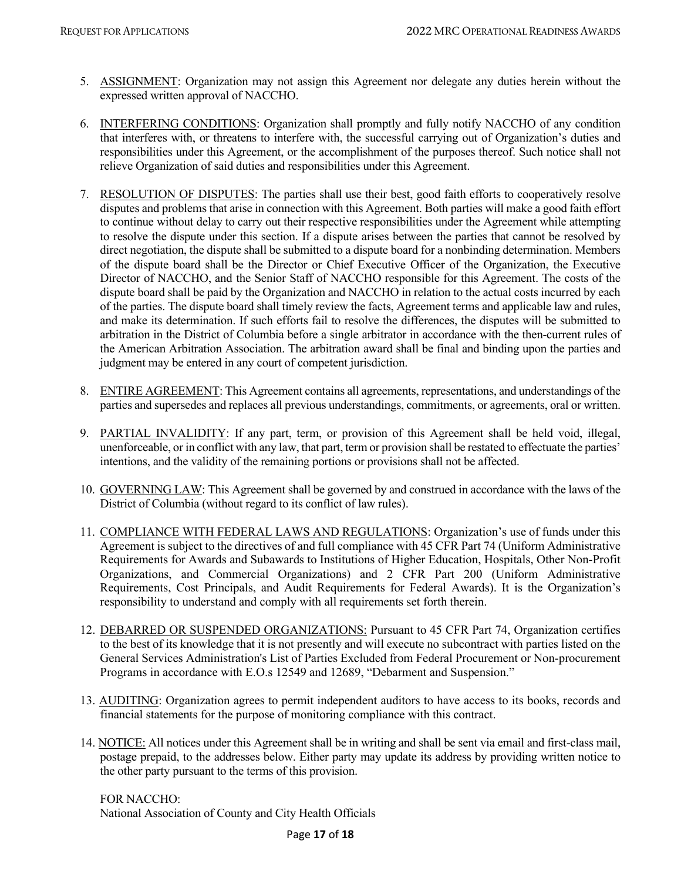- 5. ASSIGNMENT: Organization may not assign this Agreement nor delegate any duties herein without the expressed written approval of NACCHO.
- 6. INTERFERING CONDITIONS: Organization shall promptly and fully notify NACCHO of any condition that interferes with, or threatens to interfere with, the successful carrying out of Organization's duties and responsibilities under this Agreement, or the accomplishment of the purposes thereof. Such notice shall not relieve Organization of said duties and responsibilities under this Agreement.
- 7. RESOLUTION OF DISPUTES: The parties shall use their best, good faith efforts to cooperatively resolve disputes and problems that arise in connection with this Agreement. Both parties will make a good faith effort to continue without delay to carry out their respective responsibilities under the Agreement while attempting to resolve the dispute under this section. If a dispute arises between the parties that cannot be resolved by direct negotiation, the dispute shall be submitted to a dispute board for a nonbinding determination. Members of the dispute board shall be the Director or Chief Executive Officer of the Organization, the Executive Director of NACCHO, and the Senior Staff of NACCHO responsible for this Agreement. The costs of the dispute board shall be paid by the Organization and NACCHO in relation to the actual costs incurred by each of the parties. The dispute board shall timely review the facts, Agreement terms and applicable law and rules, and make its determination. If such efforts fail to resolve the differences, the disputes will be submitted to arbitration in the District of Columbia before a single arbitrator in accordance with the then-current rules of the American Arbitration Association. The arbitration award shall be final and binding upon the parties and judgment may be entered in any court of competent jurisdiction.
- 8. ENTIRE AGREEMENT: This Agreement contains all agreements, representations, and understandings of the parties and supersedes and replaces all previous understandings, commitments, or agreements, oral or written.
- 9. PARTIAL INVALIDITY: If any part, term, or provision of this Agreement shall be held void, illegal, unenforceable, or in conflict with any law, that part, term or provision shall be restated to effectuate the parties' intentions, and the validity of the remaining portions or provisions shall not be affected.
- 10. GOVERNING LAW: This Agreement shall be governed by and construed in accordance with the laws of the District of Columbia (without regard to its conflict of law rules).
- 11. COMPLIANCE WITH FEDERAL LAWS AND REGULATIONS: Organization's use of funds under this Agreement is subject to the directives of and full compliance with 45 CFR Part 74 (Uniform Administrative Requirements for Awards and Subawards to Institutions of Higher Education, Hospitals, Other Non-Profit Organizations, and Commercial Organizations) and 2 CFR Part 200 (Uniform Administrative Requirements, Cost Principals, and Audit Requirements for Federal Awards). It is the Organization's responsibility to understand and comply with all requirements set forth therein.
- 12. DEBARRED OR SUSPENDED ORGANIZATIONS: Pursuant to 45 CFR Part 74, Organization certifies to the best of its knowledge that it is not presently and will execute no subcontract with parties listed on the General Services Administration's List of Parties Excluded from Federal Procurement or Non-procurement Programs in accordance with E.O.s 12549 and 12689, "Debarment and Suspension."
- 13. AUDITING: Organization agrees to permit independent auditors to have access to its books, records and financial statements for the purpose of monitoring compliance with this contract.
- 14. NOTICE: All notices under this Agreement shall be in writing and shall be sent via email and first-class mail, postage prepaid, to the addresses below. Either party may update its address by providing written notice to the other party pursuant to the terms of this provision.

FOR NACCHO: National Association of County and City Health Officials